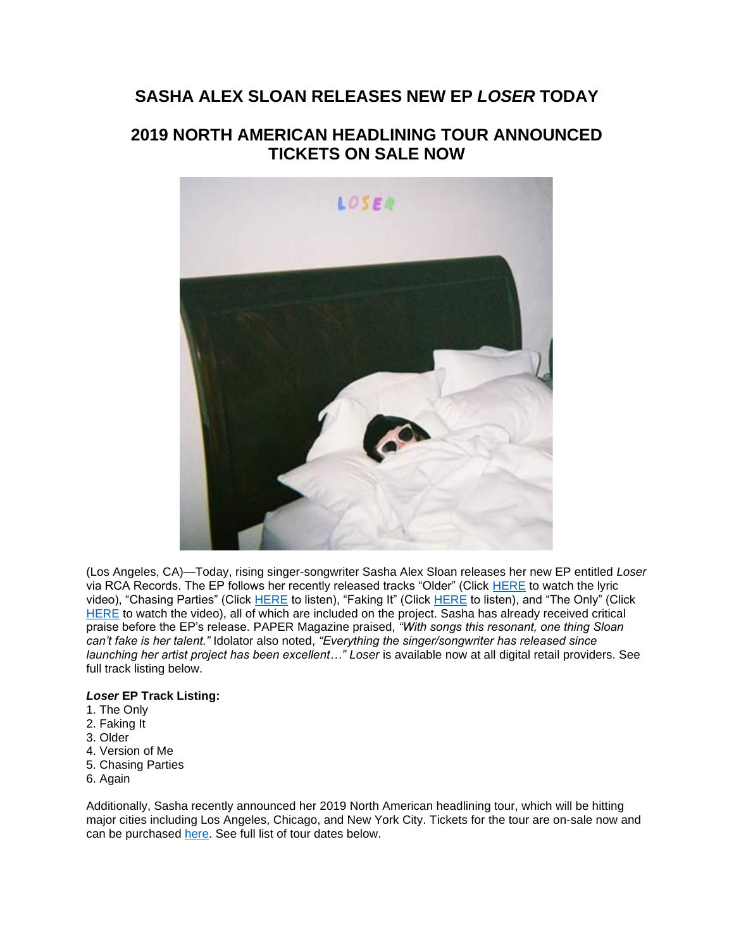## **SASHA ALEX SLOAN RELEASES NEW EP** *LOSER* **TODAY**

# **2019 NORTH AMERICAN HEADLINING TOUR ANNOUNCED TICKETS ON SALE NOW**



(Los Angeles, CA)—Today, rising singer-songwriter Sasha Alex Sloan releases her new EP entitled *Loser* via RCA Records. The EP follows her recently released tracks "Older" (Click [HERE](http://smarturl.it/ssOlder/youtube) to watch the lyric video), "Chasing Parties" (Click [HERE](http://smarturl.it/ssTheOnlyV) to listen), "Faking It" (Click HERE to listen), and "The Only" (Click [HERE](http://smarturl.it/ssFakingIt/youtube) to watch the video), all of which are included on the project. Sasha has already received critical praise before the EP's release. PAPER Magazine praised, *"With songs this resonant, one thing Sloan can't fake is her talent."* Idolator also noted, *"Everything the singer/songwriter has released since launching her artist project has been excellent…" Loser* is available now at all digital retail providers. See full track listing below.

### *Loser* **EP Track Listing:**

- 1. The Only
- 2. Faking It
- 3. Older
- 4. Version of Me
- 5. Chasing Parties
- 6. Again

Additionally, Sasha recently announced her 2019 North American headlining tour, which will be hitting major cities including Los Angeles, Chicago, and New York City. Tickets for the tour are on-sale now and can be purchased [here.](https://emea01.safelinks.protection.outlook.com/?url=http%3A%2F%2Fsadgirlsloan.com%2Ftour.html&data=02%7C01%7Cmichelle.nemeroff%40rcarecords.com%7C92f5ef3e70e4490111ca08d648c69037%7Cf0aff3b791a54aaeaf71c63e1dda2049%7C0%7C0%7C636776414996020811&sdata=lYrAzGJc05967NKCUTbODP3PTPo7qIGr%2F55DbRP5XsU%3D&reserved=0) See full list of tour dates below.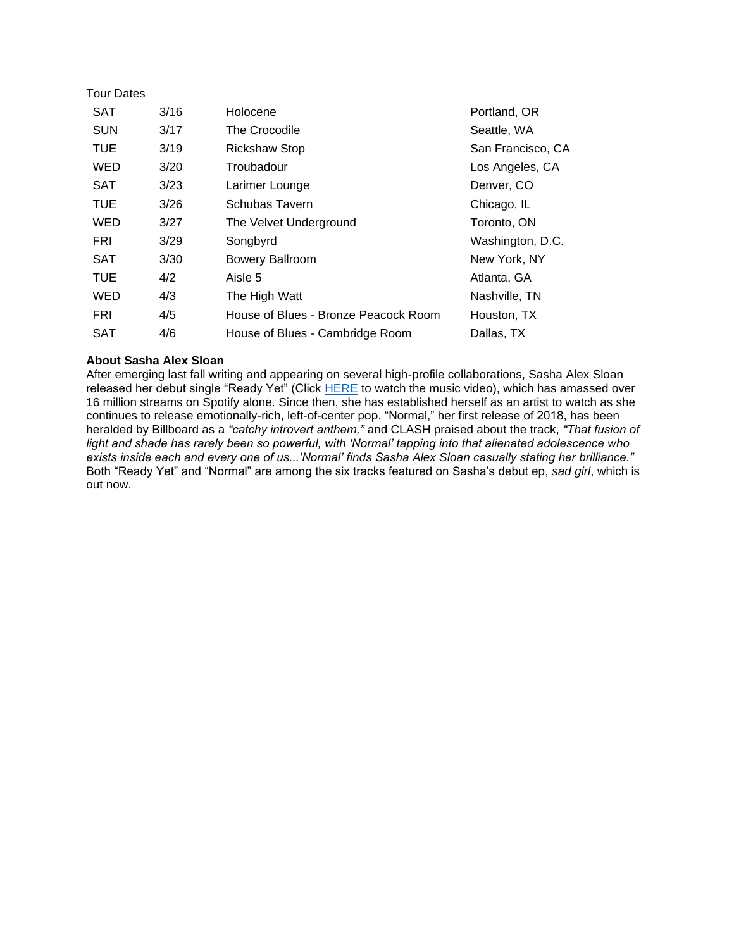| <b>Tour Dates</b> |      |                                      |                   |
|-------------------|------|--------------------------------------|-------------------|
| <b>SAT</b>        | 3/16 | Holocene                             | Portland, OR      |
| <b>SUN</b>        | 3/17 | The Crocodile                        | Seattle, WA       |
| <b>TUE</b>        | 3/19 | <b>Rickshaw Stop</b>                 | San Francisco, CA |
| WED               | 3/20 | Troubadour                           | Los Angeles, CA   |
| <b>SAT</b>        | 3/23 | Larimer Lounge                       | Denver, CO        |
| <b>TUE</b>        | 3/26 | Schubas Tavern                       | Chicago, IL       |
| WED               | 3/27 | The Velvet Underground               | Toronto, ON       |
| FRI               | 3/29 | Songbyrd                             | Washington, D.C.  |
| <b>SAT</b>        | 3/30 | <b>Bowery Ballroom</b>               | New York, NY      |
| <b>TUE</b>        | 4/2  | Aisle 5                              | Atlanta, GA       |
| WED               | 4/3  | The High Watt                        | Nashville, TN     |
| FRI               | 4/5  | House of Blues - Bronze Peacock Room | Houston, TX       |
| SAT               | 4/6  | House of Blues - Cambridge Room      | Dallas, TX        |

### **About Sasha Alex Sloan**

After emerging last fall writing and appearing on several high-profile collaborations, Sasha Alex Sloan released her debut single "Ready Yet" (Click [HERE](https://emea01.safelinks.protection.outlook.com/?url=https%3A%2F%2Fwww.youtube.com%2Fwatch%3Fv%3DV4KfKUCJyNg&data=02%7C01%7Cmichelle.nemeroff%40rcarecords.com%7C92f5ef3e70e4490111ca08d648c69037%7Cf0aff3b791a54aaeaf71c63e1dda2049%7C0%7C0%7C636776414996050834&sdata=e91Fwq2F2Vb%2BKGP7CiMVgwikWzGtDt4Dn9owF44QNmQ%3D&reserved=0) to watch the music video), which has amassed over 16 million streams on Spotify alone. Since then, she has established herself as an artist to watch as she continues to release emotionally-rich, left-of-center pop. "Normal," her first release of 2018, has been heralded by Billboard as a *"catchy introvert anthem,"* and CLASH praised about the track, *"That fusion of light and shade has rarely been so powerful, with 'Normal' tapping into that alienated adolescence who exists inside each and every one of us...'Normal' finds Sasha Alex Sloan casually stating her brilliance."* Both "Ready Yet" and "Normal" are among the six tracks featured on Sasha's debut ep, *sad girl*, which is out now.